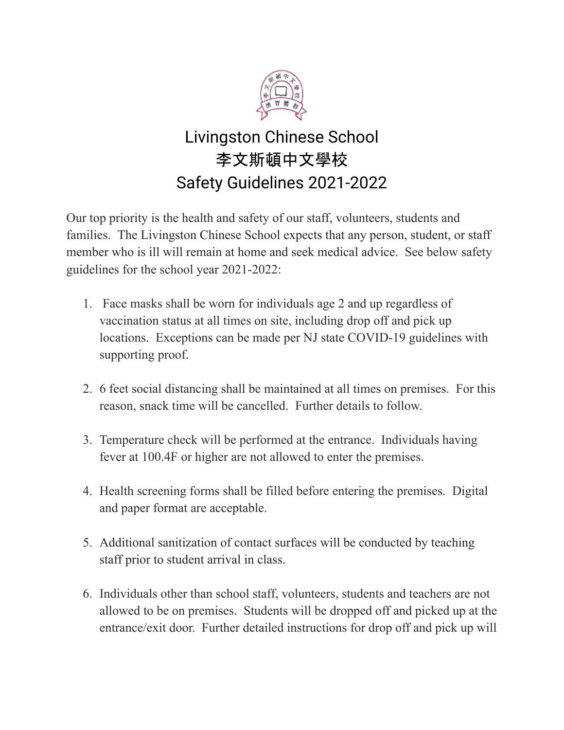

## Livingston Chinese School 李文斯頓中文學校 Safety Guidelines 2021-2022

Our top priority is the health and safety of our staff, volunteers, students and families. The Livingston Chinese School expects that any person, student, or staff member who is ill will remain at home and seek medical advice. See below safety guidelines for the school year 2021-2022:

- 1. Face masks shall be worn for individuals age 2 and up regardless of vaccination status at all times on site, including drop off and pick up locations. Exceptions can be made per NJ state COVID-19 guidelines with supporting proof.
- 2. 6 feet social distancing shall be maintained at all times on premises. For this reason, snack time will be cancelled. Further details to follow.
- 3. Temperature check will be performed at the entrance. Individuals having fever at 100.4F or higher are not allowed to enter the premises.
- 4. Health screening forms shall be filled before entering the premises. Digital and paper format are acceptable.
- 5. Additional sanitization of contact surfaces will be conducted by teaching staff prior to student arrival in class.
- 6. Individuals other than school staff, volunteers, students and teachers are not allowed to be on premises. Students will be dropped off and picked up at the entrance/exit door. Further detailed instructions for drop off and pick up will